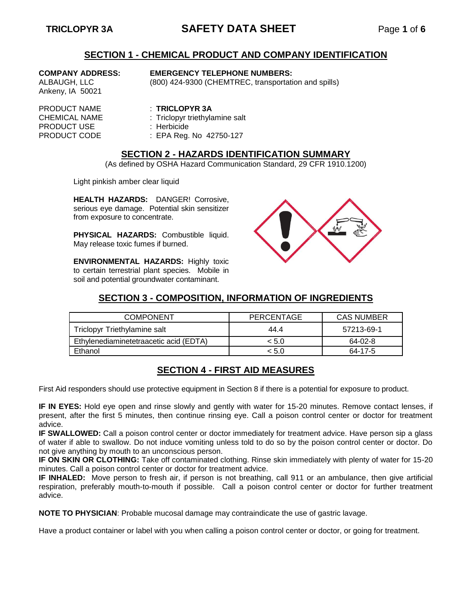# **TRICLOPYR 3A SAFETY DATA SHEET** Page **1** of **6**

### **SECTION 1 - CHEMICAL PRODUCT AND COMPANY IDENTIFICATION**

Ankeny, IA 50021

### **COMPANY ADDRESS: EMERGENCY TELEPHONE NUMBERS:**

ALBAUGH, LLC (800) 424-9300 (CHEMTREC, transportation and spills)

PRODUCT NAME : **TRICLOPYR 3A** PRODUCT USE : Herbicide<br>
PRODUCT CODE : EPA Reg.

CHEMICAL NAME : Triclopyr triethylamine salt

: EPA Reg. No 42750-127

### **SECTION 2 - HAZARDS IDENTIFICATION SUMMARY**

(As defined by OSHA Hazard Communication Standard, 29 CFR 1910.1200)

Light pinkish amber clear liquid

**HEALTH HAZARDS:** DANGER! Corrosive, serious eye damage. Potential skin sensitizer from exposure to concentrate.

**PHYSICAL HAZARDS:** Combustible liquid. May release toxic fumes if burned.

**ENVIRONMENTAL HAZARDS:** Highly toxic to certain terrestrial plant species. Mobile in soil and potential groundwater contaminant.



## **SECTION 3 - COMPOSITION, INFORMATION OF INGREDIENTS**

| <b>COMPONENT</b>                       | PERCENTAGE | <b>CAS NUMBER</b> |
|----------------------------------------|------------|-------------------|
| Triclopyr Triethylamine salt           | 44.4       | 57213-69-1        |
| Ethylenediaminetetraacetic acid (EDTA) | < 5.0      | 64-02-8           |
| Ethanol                                | < 5.0      | 64-17-5           |

## **SECTION 4 - FIRST AID MEASURES**

First Aid responders should use protective equipment in Section 8 if there is a potential for exposure to product.

**IF IN EYES:** Hold eye open and rinse slowly and gently with water for 15-20 minutes. Remove contact lenses, if present, after the first 5 minutes, then continue rinsing eye. Call a poison control center or doctor for treatment advice.

**IF SWALLOWED:** Call a poison control center or doctor immediately for treatment advice. Have person sip a glass of water if able to swallow. Do not induce vomiting unless told to do so by the poison control center or doctor. Do not give anything by mouth to an unconscious person.

**IF ON SKIN OR CLOTHING:** Take off contaminated clothing. Rinse skin immediately with plenty of water for 15-20 minutes. Call a poison control center or doctor for treatment advice.

**IF INHALED:** Move person to fresh air, if person is not breathing, call 911 or an ambulance, then give artificial respiration, preferably mouth-to-mouth if possible. Call a poison control center or doctor for further treatment advice.

**NOTE TO PHYSICIAN**: Probable mucosal damage may contraindicate the use of gastric lavage.

Have a product container or label with you when calling a poison control center or doctor, or going for treatment.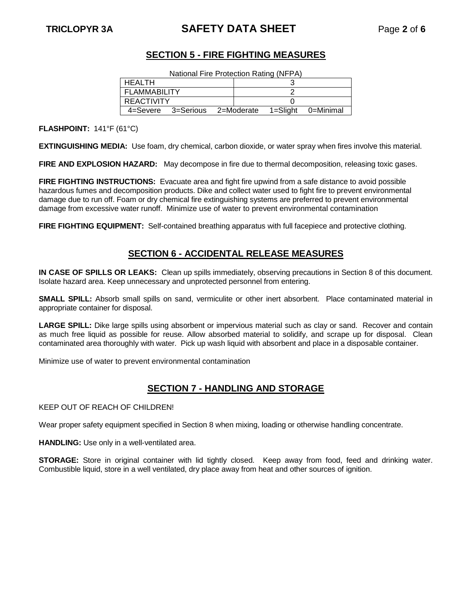# **TRICLOPYR 3A SAFETY DATA SHEET** Page **2** of **6**

## **SECTION 5 - FIRE FIGHTING MEASURES**

| National Fire Protection Rating (NFPA) |  |
|----------------------------------------|--|
|----------------------------------------|--|

| HEALTH              |                    |            |  |          |           |
|---------------------|--------------------|------------|--|----------|-----------|
| <b>FLAMMABILITY</b> |                    |            |  |          |           |
| REACTIVITY          |                    |            |  |          |           |
|                     | 4=Severe 3=Serious | 2=Moderate |  | 1=Slight | 0=Minimal |

**FLASHPOINT:** 141°F (61°C)

**EXTINGUISHING MEDIA:** Use foam, dry chemical, carbon dioxide, or water spray when fires involve this material.

**FIRE AND EXPLOSION HAZARD:** May decompose in fire due to thermal decomposition, releasing toxic gases.

**FIRE FIGHTING INSTRUCTIONS:** Evacuate area and fight fire upwind from a safe distance to avoid possible hazardous fumes and decomposition products. Dike and collect water used to fight fire to prevent environmental damage due to run off. Foam or dry chemical fire extinguishing systems are preferred to prevent environmental damage from excessive water runoff. Minimize use of water to prevent environmental contamination

**FIRE FIGHTING EQUIPMENT:** Self-contained breathing apparatus with full facepiece and protective clothing.

### **SECTION 6 - ACCIDENTAL RELEASE MEASURES**

**IN CASE OF SPILLS OR LEAKS:** Clean up spills immediately, observing precautions in Section 8 of this document. Isolate hazard area. Keep unnecessary and unprotected personnel from entering.

**SMALL SPILL:** Absorb small spills on sand, vermiculite or other inert absorbent. Place contaminated material in appropriate container for disposal.

**LARGE SPILL:** Dike large spills using absorbent or impervious material such as clay or sand. Recover and contain as much free liquid as possible for reuse. Allow absorbed material to solidify, and scrape up for disposal. Clean contaminated area thoroughly with water. Pick up wash liquid with absorbent and place in a disposable container.

Minimize use of water to prevent environmental contamination

## **SECTION 7 - HANDLING AND STORAGE**

KEEP OUT OF REACH OF CHILDREN!

Wear proper safety equipment specified in Section 8 when mixing, loading or otherwise handling concentrate.

**HANDLING:** Use only in a well-ventilated area.

**STORAGE:** Store in original container with lid tightly closed. Keep away from food, feed and drinking water. Combustible liquid, store in a well ventilated, dry place away from heat and other sources of ignition.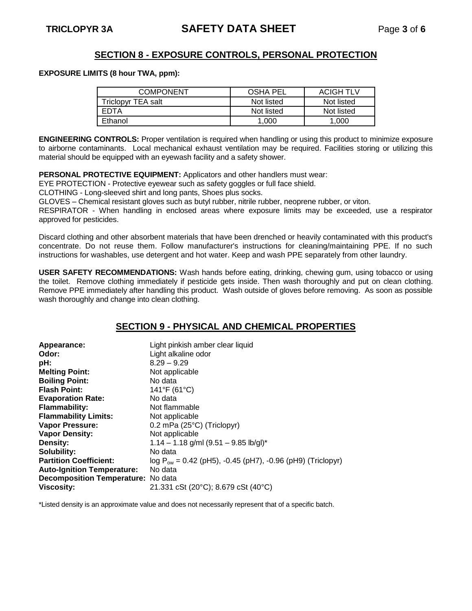### **SECTION 8 - EXPOSURE CONTROLS, PERSONAL PROTECTION**

### **EXPOSURE LIMITS (8 hour TWA, ppm):**

| <b>COMPONENT</b>   | <b>OSHA PEL</b> | <b>ACIGH TLV</b> |
|--------------------|-----------------|------------------|
| Triclopyr TEA salt | Not listed      | Not listed       |
| EDTA               | Not listed      | Not listed       |
| Ethanol            | 1.000           | 1.000            |

**ENGINEERING CONTROLS:** Proper ventilation is required when handling or using this product to minimize exposure to airborne contaminants. Local mechanical exhaust ventilation may be required. Facilities storing or utilizing this material should be equipped with an eyewash facility and a safety shower.

**PERSONAL PROTECTIVE EQUIPMENT:** Applicators and other handlers must wear:

EYE PROTECTION - Protective eyewear such as safety goggles or full face shield.

CLOTHING - Long-sleeved shirt and long pants, Shoes plus socks.

GLOVES – Chemical resistant gloves such as butyl rubber, nitrile rubber, neoprene rubber, or viton.

RESPIRATOR - When handling in enclosed areas where exposure limits may be exceeded, use a respirator approved for pesticides.

Discard clothing and other absorbent materials that have been drenched or heavily contaminated with this product's concentrate. Do not reuse them. Follow manufacturer's instructions for cleaning/maintaining PPE. If no such instructions for washables, use detergent and hot water. Keep and wash PPE separately from other laundry.

**USER SAFETY RECOMMENDATIONS:** Wash hands before eating, drinking, chewing gum, using tobacco or using the toilet. Remove clothing immediately if pesticide gets inside. Then wash thoroughly and put on clean clothing. Remove PPE immediately after handling this product. Wash outside of gloves before removing. As soon as possible wash thoroughly and change into clean clothing.

## **SECTION 9 - PHYSICAL AND CHEMICAL PROPERTIES**

| Appearance:                        | Light pinkish amber clear liquid                                |
|------------------------------------|-----------------------------------------------------------------|
| Odor:                              | Light alkaline odor                                             |
| pH:                                | $8.29 - 9.29$                                                   |
| <b>Melting Point:</b>              | Not applicable                                                  |
| <b>Boiling Point:</b>              | No data                                                         |
| <b>Flash Point:</b>                | 141°F (61°C)                                                    |
| <b>Evaporation Rate:</b>           | No data                                                         |
| <b>Flammability:</b>               | Not flammable                                                   |
| <b>Flammability Limits:</b>        | Not applicable                                                  |
| <b>Vapor Pressure:</b>             | $0.2$ mPa (25 $^{\circ}$ C) (Triclopyr)                         |
| <b>Vapor Density:</b>              | Not applicable                                                  |
| Density:                           | $1.14 - 1.18$ g/ml (9.51 - 9.85 lb/gl)*                         |
| Solubility:                        | No data                                                         |
| <b>Partition Coefficient:</b>      | $log P_{ow} = 0.42$ (pH5), -0.45 (pH7), -0.96 (pH9) (Triclopyr) |
| <b>Auto-Ignition Temperature:</b>  | No data                                                         |
| Decomposition Temperature: No data |                                                                 |
| <b>Viscosity:</b>                  | 21.331 cSt (20°C); 8.679 cSt (40°C)                             |

\*Listed density is an approximate value and does not necessarily represent that of a specific batch.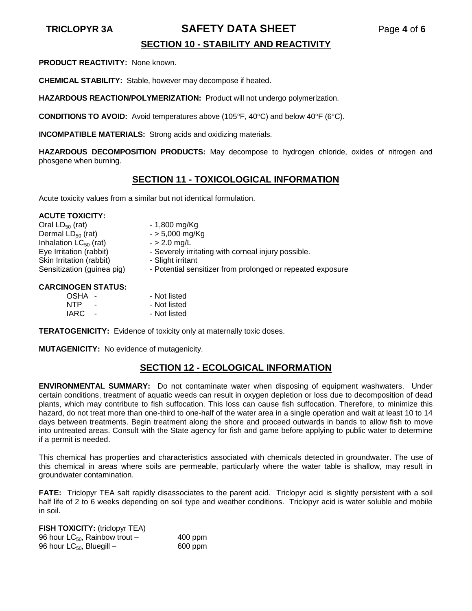### **TRICLOPYR 3A SAFETY DATA SHEET** Page **4** of **6**

# **SECTION 10 - STABILITY AND REACTIVITY**

**PRODUCT REACTIVITY:** None known.

**CHEMICAL STABILITY:** Stable, however may decompose if heated.

**HAZARDOUS REACTION/POLYMERIZATION:** Product will not undergo polymerization.

**CONDITIONS TO AVOID:** Avoid temperatures above (105°F, 40°C) and below 40°F (6°C).

**INCOMPATIBLE MATERIALS:** Strong acids and oxidizing materials.

**HAZARDOUS DECOMPOSITION PRODUCTS:** May decompose to hydrogen chloride, oxides of nitrogen and phosgene when burning.

### **SECTION 11 - TOXICOLOGICAL INFORMATION**

Acute toxicity values from a similar but not identical formulation.

### **ACUTE TOXICITY:**

Oral  $LD_{50}$  (rat)  $-1,800 \text{ mg/Kg}$ <br>Dermal  $LD_{50}$  (rat)  $-5,000 \text{ mg/Kg}$ Dermal  $LD_{50}$  (rat)  $-$  > 5,000 mg<br>Inhalation  $LC_{50}$  (rat)  $-$  > 2.0 mg/L Inhalation  $LC_{50}$  (rat) Eye Irritation (rabbit) - Severely irritating with corneal injury possible. Skin Irritation (rabbit) - Slight irritant Sensitization (guinea pig) - Potential sensitizer from prolonged or repeated exposure

### **CARCINOGEN STATUS:**

| <b>OSHA</b> | $\sim$                   | - Not listed |
|-------------|--------------------------|--------------|
| <b>NTP</b>  | $\overline{\phantom{a}}$ | - Not listed |
| IARC.       |                          | - Not listed |

**TERATOGENICITY:** Evidence of toxicity only at maternally toxic doses.

**MUTAGENICITY:** No evidence of mutagenicity.

### **SECTION 12 - ECOLOGICAL INFORMATION**

**ENVIRONMENTAL SUMMARY:** Do not contaminate water when disposing of equipment washwaters. Under certain conditions, treatment of aquatic weeds can result in oxygen depletion or loss due to decomposition of dead plants, which may contribute to fish suffocation. This loss can cause fish suffocation. Therefore, to minimize this hazard, do not treat more than one-third to one-half of the water area in a single operation and wait at least 10 to 14 days between treatments. Begin treatment along the shore and proceed outwards in bands to allow fish to move into untreated areas. Consult with the State agency for fish and game before applying to public water to determine if a permit is needed.

This chemical has properties and characteristics associated with chemicals detected in groundwater. The use of this chemical in areas where soils are permeable, particularly where the water table is shallow, may result in groundwater contamination.

**FATE:** Triclopyr TEA salt rapidly disassociates to the parent acid. Triclopyr acid is slightly persistent with a soil half life of 2 to 6 weeks depending on soil type and weather conditions. Triclopyr acid is water soluble and mobile in soil.

**FISH TOXICITY:** (triclopyr TEA) 96 hour  $LC_{50}$ , Rainbow trout – 400 ppm 96 hour  $LC_{50}$ , Bluegill – 600 ppm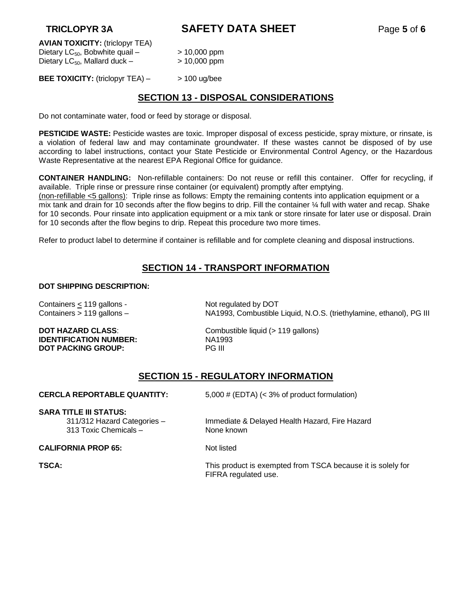**TRICLOPYR 3A SAFETY DATA SHEET** Page **5** of **6**

**AVIAN TOXICITY:** (triclopyr TEA) Dietary  $LC_{50}$ , Bobwhite quail –  $> 10,000$  ppm Dietary  $LC_{50}$ , Mallard duck –  $> 10,000$  ppm

**BEE TOXICITY:** (triclopyr TEA) – > 100 ug/bee

### **SECTION 13 - DISPOSAL CONSIDERATIONS**

Do not contaminate water, food or feed by storage or disposal.

**PESTICIDE WASTE:** Pesticide wastes are toxic. Improper disposal of excess pesticide, spray mixture, or rinsate, is a violation of federal law and may contaminate groundwater. If these wastes cannot be disposed of by use according to label instructions, contact your State Pesticide or Environmental Control Agency, or the Hazardous Waste Representative at the nearest EPA Regional Office for guidance.

**CONTAINER HANDLING:** Non-refillable containers: Do not reuse or refill this container. Offer for recycling, if available. Triple rinse or pressure rinse container (or equivalent) promptly after emptying.

(non-refillable <5 gallons): Triple rinse as follows: Empty the remaining contents into application equipment or a mix tank and drain for 10 seconds after the flow begins to drip. Fill the container ¼ full with water and recap. Shake for 10 seconds. Pour rinsate into application equipment or a mix tank or store rinsate for later use or disposal. Drain for 10 seconds after the flow begins to drip. Repeat this procedure two more times.

Refer to product label to determine if container is refillable and for complete cleaning and disposal instructions.

## **SECTION 14 - TRANSPORT INFORMATION**

### **DOT SHIPPING DESCRIPTION:**

Containers  $\leq$  119 gallons - Not regulated by DOT

**IDENTIFICATION NUMBER:** NA1993 **DOT PACKING GROUP:** PG III

Containers > 119 gallons – NA1993, Combustible Liquid, N.O.S. (triethylamine, ethanol), PG III

**DOT HAZARD CLASS:** Combustible liquid (> 119 gallons)

## **SECTION 15 - REGULATORY INFORMATION**

**CERCLA REPORTABLE QUANTITY:** 5,000 # (EDTA) (< 3% of product formulation)

### **SARA TITLE III STATUS:**

311/312 Hazard Categories – Immediate & Delayed Health Hazard, Fire Hazard 313 Toxic Chemicals – None known

**CALIFORNIA PROP 65:** Not listed

**TSCA:** This product is exempted from TSCA because it is solely for FIFRA regulated use.